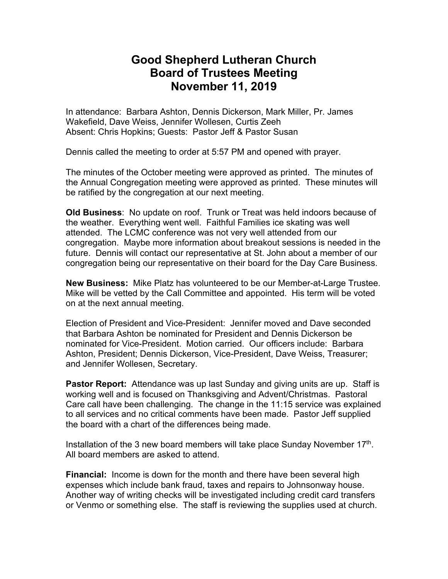## **Good Shepherd Lutheran Church Board of Trustees Meeting November 11, 2019**

In attendance: Barbara Ashton, Dennis Dickerson, Mark Miller, Pr. James Wakefield, Dave Weiss, Jennifer Wollesen, Curtis Zeeh Absent: Chris Hopkins; Guests: Pastor Jeff & Pastor Susan

Dennis called the meeting to order at 5:57 PM and opened with prayer.

The minutes of the October meeting were approved as printed. The minutes of the Annual Congregation meeting were approved as printed. These minutes will be ratified by the congregation at our next meeting.

**Old Business**: No update on roof. Trunk or Treat was held indoors because of the weather. Everything went well. Faithful Families ice skating was well attended. The LCMC conference was not very well attended from our congregation. Maybe more information about breakout sessions is needed in the future. Dennis will contact our representative at St. John about a member of our congregation being our representative on their board for the Day Care Business.

**New Business:** Mike Platz has volunteered to be our Member-at-Large Trustee. Mike will be vetted by the Call Committee and appointed. His term will be voted on at the next annual meeting.

Election of President and Vice-President: Jennifer moved and Dave seconded that Barbara Ashton be nominated for President and Dennis Dickerson be nominated for Vice-President. Motion carried. Our officers include: Barbara Ashton, President; Dennis Dickerson, Vice-President, Dave Weiss, Treasurer; and Jennifer Wollesen, Secretary.

**Pastor Report:** Attendance was up last Sunday and giving units are up. Staff is working well and is focused on Thanksgiving and Advent/Christmas. Pastoral Care call have been challenging. The change in the 11:15 service was explained to all services and no critical comments have been made. Pastor Jeff supplied the board with a chart of the differences being made.

Installation of the 3 new board members will take place Sunday November  $17<sup>th</sup>$ . All board members are asked to attend.

**Financial:** Income is down for the month and there have been several high expenses which include bank fraud, taxes and repairs to Johnsonway house. Another way of writing checks will be investigated including credit card transfers or Venmo or something else. The staff is reviewing the supplies used at church.